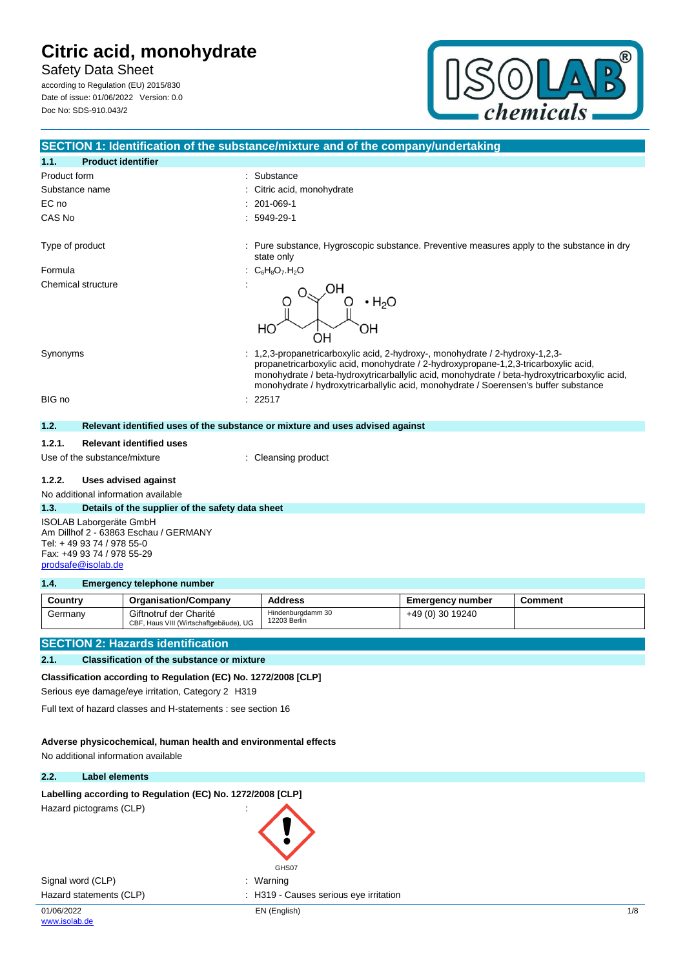Safety Data Sheet according to Regulation (EU) 2015/830

Date of issue: 01/06/2022 Version: 0.0 Doc No: SDS-910.043/2



|                                           | SECTION 1: Identification of the substance/mixture and of the company/undertaking                                                                                                                                                                                                                                                                            |
|-------------------------------------------|--------------------------------------------------------------------------------------------------------------------------------------------------------------------------------------------------------------------------------------------------------------------------------------------------------------------------------------------------------------|
| <b>Product identifier</b><br>1.1.         |                                                                                                                                                                                                                                                                                                                                                              |
| Product form                              | Substance                                                                                                                                                                                                                                                                                                                                                    |
| Substance name                            | Citric acid, monohydrate                                                                                                                                                                                                                                                                                                                                     |
| EC no                                     | 201-069-1                                                                                                                                                                                                                                                                                                                                                    |
| CAS No                                    | 5949-29-1                                                                                                                                                                                                                                                                                                                                                    |
| Type of product                           | : Pure substance, Hygroscopic substance. Preventive measures apply to the substance in dry<br>state only                                                                                                                                                                                                                                                     |
| Formula                                   | $C_6H_8O_7.H_2O$                                                                                                                                                                                                                                                                                                                                             |
| Chemical structure                        | $\cdot$ H <sub>2</sub> O<br>HO<br>OΗ<br>UΗ                                                                                                                                                                                                                                                                                                                   |
| Synonyms                                  | : 1,2,3-propanetricarboxylic acid, 2-hydroxy-, monohydrate / 2-hydroxy-1,2,3-<br>propanetricarboxylic acid, monohydrate / 2-hydroxypropane-1,2,3-tricarboxylic acid,<br>monohydrate / beta-hydroxytricarballylic acid, monohydrate / beta-hydroxytricarboxylic acid,<br>monohydrate / hydroxytricarballylic acid, monohydrate / Soerensen's buffer substance |
| BIG no                                    | 22517                                                                                                                                                                                                                                                                                                                                                        |
| 1.2.                                      | Relevant identified uses of the substance or mixture and uses advised against                                                                                                                                                                                                                                                                                |
|                                           |                                                                                                                                                                                                                                                                                                                                                              |
| <b>Relevant identified uses</b><br>1.2.1. |                                                                                                                                                                                                                                                                                                                                                              |
| Use of the substance/mixture              | Cleansing product                                                                                                                                                                                                                                                                                                                                            |
|                                           |                                                                                                                                                                                                                                                                                                                                                              |

**1.2.2. Uses advised against**

No additional information available

#### **1.3. Details of the supplier of the safety data sheet**

ISOLAB Laborgeräte GmbH Am Dillhof 2 - 63863 Eschau / GERMANY Tel: + 49 93 74 / 978 55-0 Fax: +49 93 74 / 978 55-29 [prodsafe@isolab.de](mailto:prodsafe@isolab.de)

#### **1.4. Emergency telephone number**

| Country | <b>Organisation/Company</b>                                      | Address                           | Emergency number | Comment |
|---------|------------------------------------------------------------------|-----------------------------------|------------------|---------|
| Germany | Giftnotruf der Charité<br>CBF, Haus VIII (Wirtschaftgebäude), UG | Hindenburgdamm 30<br>12203 Berlin | +49 (0) 30 19240 |         |

## **SECTION 2: Hazards identification**

### **2.1. Classification of the substance or mixture**

**Classification according to Regulation (EC) No. 1272/2008 [CLP]**

Serious eye damage/eye irritation, Category 2 H319

Full text of hazard classes and H-statements : see section 16

#### **Adverse physicochemical, human health and environmental effects**

No additional information available

#### **2.2. Label elements**

### Labelling according to Regulation (EC) No. 1272/2008 [CLP]

Hazard pictograms (CLP) :

Signal word (CLP) **in the set of the Signal word (CLP)** and the set of the set of the set of the set of the set o Hazard statements (CLP) : H319 - Causes serious eye irritation

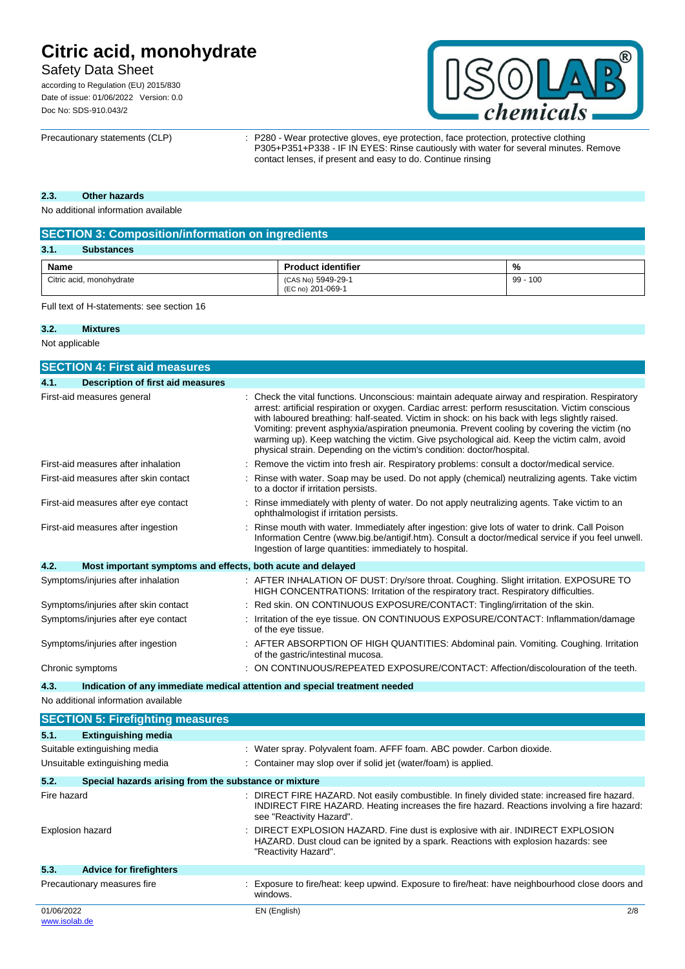# Safety Data Sheet

according to Regulation (EU) 2015/830 Date of issue: 01/06/2022 Version: 0.0 Doc No: SDS-910.043/2



Precautionary statements (CLP) : P280 - Wear protective gloves, eye protection, face protection, protective clothing P305+P351+P338 - IF IN EYES: Rinse cautiously with water for several minutes. Remove contact lenses, if present and easy to do. Continue rinsing

### **2.3. Other hazards**

No additional information available

| <b>SECTION 3: Composition/information on ingredients</b> |                                         |            |  |
|----------------------------------------------------------|-----------------------------------------|------------|--|
| 3.1.<br><b>Substances</b>                                |                                         |            |  |
| Name                                                     | <b>Product identifier</b>               | %          |  |
| Citric acid, monohydrate                                 | (CAS No) 5949-29-1<br>(EC no) 201-069-1 | $99 - 100$ |  |

Full text of H-statements: see section 16

#### **3.2. Mixtures**

Not applicable

| <b>SECTION 4: First aid measures</b>                                               |  |                                                                                                                                                                                                                                                                                                                                                                                                                                                                                                                                                                            |
|------------------------------------------------------------------------------------|--|----------------------------------------------------------------------------------------------------------------------------------------------------------------------------------------------------------------------------------------------------------------------------------------------------------------------------------------------------------------------------------------------------------------------------------------------------------------------------------------------------------------------------------------------------------------------------|
| 4.1.<br>Description of first aid measures                                          |  |                                                                                                                                                                                                                                                                                                                                                                                                                                                                                                                                                                            |
| First-aid measures general                                                         |  | Check the vital functions. Unconscious: maintain adequate airway and respiration. Respiratory<br>arrest: artificial respiration or oxygen. Cardiac arrest: perform resuscitation. Victim conscious<br>with laboured breathing: half-seated. Victim in shock: on his back with legs slightly raised.<br>Vomiting: prevent asphyxia/aspiration pneumonia. Prevent cooling by covering the victim (no<br>warming up). Keep watching the victim. Give psychological aid. Keep the victim calm, avoid<br>physical strain. Depending on the victim's condition: doctor/hospital. |
| First-aid measures after inhalation                                                |  | Remove the victim into fresh air. Respiratory problems: consult a doctor/medical service.                                                                                                                                                                                                                                                                                                                                                                                                                                                                                  |
| First-aid measures after skin contact                                              |  | Rinse with water. Soap may be used. Do not apply (chemical) neutralizing agents. Take victim<br>to a doctor if irritation persists.                                                                                                                                                                                                                                                                                                                                                                                                                                        |
| First-aid measures after eye contact                                               |  | Rinse immediately with plenty of water. Do not apply neutralizing agents. Take victim to an<br>ophthalmologist if irritation persists.                                                                                                                                                                                                                                                                                                                                                                                                                                     |
| First-aid measures after ingestion                                                 |  | Rinse mouth with water. Immediately after ingestion: give lots of water to drink. Call Poison<br>Information Centre (www.big.be/antigif.htm). Consult a doctor/medical service if you feel unwell.<br>Ingestion of large quantities: immediately to hospital.                                                                                                                                                                                                                                                                                                              |
| Most important symptoms and effects, both acute and delayed<br>4.2.                |  |                                                                                                                                                                                                                                                                                                                                                                                                                                                                                                                                                                            |
| Symptoms/injuries after inhalation                                                 |  | : AFTER INHALATION OF DUST: Dry/sore throat. Coughing. Slight irritation. EXPOSURE TO<br>HIGH CONCENTRATIONS: Irritation of the respiratory tract. Respiratory difficulties.                                                                                                                                                                                                                                                                                                                                                                                               |
| Symptoms/injuries after skin contact                                               |  | Red skin. ON CONTINUOUS EXPOSURE/CONTACT: Tingling/irritation of the skin.                                                                                                                                                                                                                                                                                                                                                                                                                                                                                                 |
| Symptoms/injuries after eye contact                                                |  | Irritation of the eye tissue. ON CONTINUOUS EXPOSURE/CONTACT: Inflammation/damage<br>of the eye tissue.                                                                                                                                                                                                                                                                                                                                                                                                                                                                    |
| Symptoms/injuries after ingestion                                                  |  | : AFTER ABSORPTION OF HIGH QUANTITIES: Abdominal pain. Vomiting. Coughing. Irritation<br>of the gastric/intestinal mucosa.                                                                                                                                                                                                                                                                                                                                                                                                                                                 |
| Chronic symptoms                                                                   |  | ON CONTINUOUS/REPEATED EXPOSURE/CONTACT: Affection/discolouration of the teeth.                                                                                                                                                                                                                                                                                                                                                                                                                                                                                            |
| Indication of any immediate medical attention and special treatment needed<br>4.3. |  |                                                                                                                                                                                                                                                                                                                                                                                                                                                                                                                                                                            |
| No additional information available                                                |  |                                                                                                                                                                                                                                                                                                                                                                                                                                                                                                                                                                            |
| <b>SECTION 5: Firefighting measures</b>                                            |  |                                                                                                                                                                                                                                                                                                                                                                                                                                                                                                                                                                            |
| 5.1.<br><b>Extinguishing media</b>                                                 |  |                                                                                                                                                                                                                                                                                                                                                                                                                                                                                                                                                                            |
| Suitable extinguishing media                                                       |  | : Water spray. Polyvalent foam. AFFF foam. ABC powder. Carbon dioxide.                                                                                                                                                                                                                                                                                                                                                                                                                                                                                                     |
| Unsuitable extinguishing media                                                     |  | Container may slop over if solid jet (water/foam) is applied.                                                                                                                                                                                                                                                                                                                                                                                                                                                                                                              |
| 5.2.<br>Special hazards arising from the substance or mixture                      |  |                                                                                                                                                                                                                                                                                                                                                                                                                                                                                                                                                                            |
| Fire hazard                                                                        |  | : DIRECT FIRE HAZARD. Not easily combustible. In finely divided state: increased fire hazard.<br>INDIRECT FIRE HAZARD. Heating increases the fire hazard. Reactions involving a fire hazard:<br>see "Reactivity Hazard".                                                                                                                                                                                                                                                                                                                                                   |
| <b>Explosion hazard</b>                                                            |  | DIRECT EXPLOSION HAZARD. Fine dust is explosive with air. INDIRECT EXPLOSION<br>HAZARD. Dust cloud can be ignited by a spark. Reactions with explosion hazards: see<br>"Reactivity Hazard".                                                                                                                                                                                                                                                                                                                                                                                |
| 5.3.<br><b>Advice for firefighters</b>                                             |  |                                                                                                                                                                                                                                                                                                                                                                                                                                                                                                                                                                            |
| Precautionary measures fire                                                        |  | : Exposure to fire/heat: keep upwind. Exposure to fire/heat: have neighbourhood close doors and<br>windows.                                                                                                                                                                                                                                                                                                                                                                                                                                                                |
| 01/06/2022<br>www.isolab.de                                                        |  | EN (English)<br>2/8                                                                                                                                                                                                                                                                                                                                                                                                                                                                                                                                                        |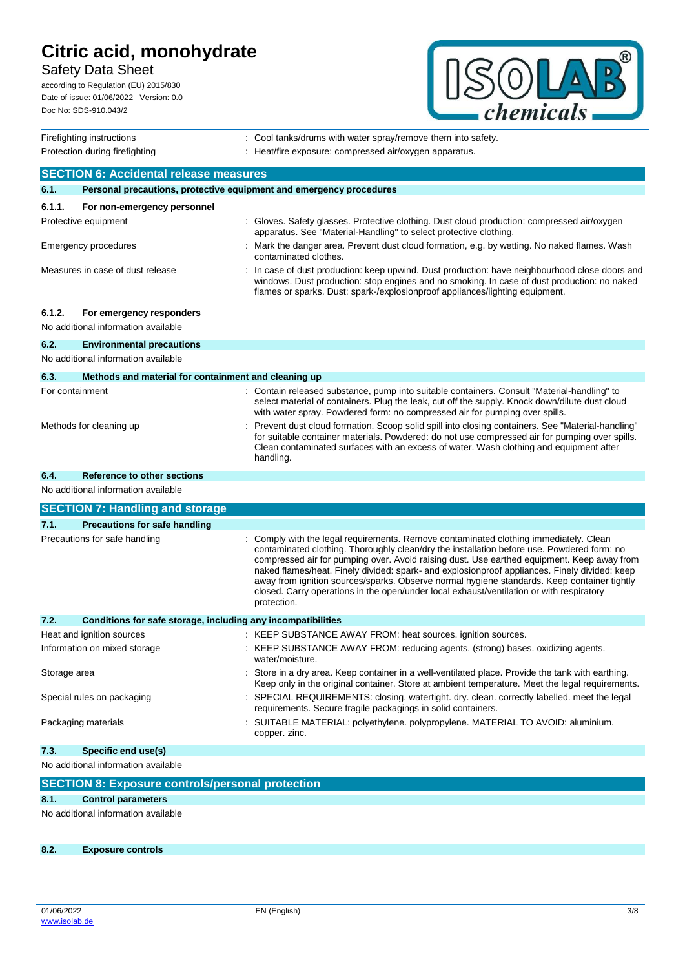# Safety Data Sheet

according to Regulation (EU) 2015/830 Date of issue: 01/06/2022 Version: 0.0 Doc No: SDS-910.043/2



| Firefighting instructions                     |                                                                                                                   |  | : Cool tanks/drums with water spray/remove them into safety.                                                                                                                                                                                                                                                                                                                                                                                                                                                                                                                               |
|-----------------------------------------------|-------------------------------------------------------------------------------------------------------------------|--|--------------------------------------------------------------------------------------------------------------------------------------------------------------------------------------------------------------------------------------------------------------------------------------------------------------------------------------------------------------------------------------------------------------------------------------------------------------------------------------------------------------------------------------------------------------------------------------------|
| Protection during firefighting                |                                                                                                                   |  | : Heat/fire exposure: compressed air/oxygen apparatus.                                                                                                                                                                                                                                                                                                                                                                                                                                                                                                                                     |
| <b>SECTION 6: Accidental release measures</b> |                                                                                                                   |  |                                                                                                                                                                                                                                                                                                                                                                                                                                                                                                                                                                                            |
| 6.1.                                          | Personal precautions, protective equipment and emergency procedures                                               |  |                                                                                                                                                                                                                                                                                                                                                                                                                                                                                                                                                                                            |
| 6.1.1.                                        | For non-emergency personnel                                                                                       |  |                                                                                                                                                                                                                                                                                                                                                                                                                                                                                                                                                                                            |
|                                               | Protective equipment                                                                                              |  | : Gloves. Safety glasses. Protective clothing. Dust cloud production: compressed air/oxygen<br>apparatus. See "Material-Handling" to select protective clothing.                                                                                                                                                                                                                                                                                                                                                                                                                           |
|                                               | Emergency procedures                                                                                              |  | : Mark the danger area. Prevent dust cloud formation, e.g. by wetting. No naked flames. Wash<br>contaminated clothes.                                                                                                                                                                                                                                                                                                                                                                                                                                                                      |
|                                               | Measures in case of dust release                                                                                  |  | In case of dust production: keep upwind. Dust production: have neighbourhood close doors and<br>windows. Dust production: stop engines and no smoking. In case of dust production: no naked<br>flames or sparks. Dust: spark-/explosionproof appliances/lighting equipment.                                                                                                                                                                                                                                                                                                                |
| 6.1.2.                                        | For emergency responders<br>No additional information available                                                   |  |                                                                                                                                                                                                                                                                                                                                                                                                                                                                                                                                                                                            |
| 6.2.                                          | <b>Environmental precautions</b>                                                                                  |  |                                                                                                                                                                                                                                                                                                                                                                                                                                                                                                                                                                                            |
|                                               | No additional information available                                                                               |  |                                                                                                                                                                                                                                                                                                                                                                                                                                                                                                                                                                                            |
| 6.3.                                          | Methods and material for containment and cleaning up                                                              |  |                                                                                                                                                                                                                                                                                                                                                                                                                                                                                                                                                                                            |
| For containment                               |                                                                                                                   |  | : Contain released substance, pump into suitable containers. Consult "Material-handling" to<br>select material of containers. Plug the leak, cut off the supply. Knock down/dilute dust cloud<br>with water spray. Powdered form: no compressed air for pumping over spills.                                                                                                                                                                                                                                                                                                               |
|                                               | Methods for cleaning up                                                                                           |  | Prevent dust cloud formation. Scoop solid spill into closing containers. See "Material-handling"<br>for suitable container materials. Powdered: do not use compressed air for pumping over spills.<br>Clean contaminated surfaces with an excess of water. Wash clothing and equipment after<br>handling.                                                                                                                                                                                                                                                                                  |
| 6.4.                                          | Reference to other sections                                                                                       |  |                                                                                                                                                                                                                                                                                                                                                                                                                                                                                                                                                                                            |
|                                               | No additional information available                                                                               |  |                                                                                                                                                                                                                                                                                                                                                                                                                                                                                                                                                                                            |
|                                               | <b>SECTION 7: Handling and storage</b>                                                                            |  |                                                                                                                                                                                                                                                                                                                                                                                                                                                                                                                                                                                            |
| 7.1.                                          | <b>Precautions for safe handling</b>                                                                              |  |                                                                                                                                                                                                                                                                                                                                                                                                                                                                                                                                                                                            |
|                                               | Precautions for safe handling                                                                                     |  | Comply with the legal requirements. Remove contaminated clothing immediately. Clean<br>contaminated clothing. Thoroughly clean/dry the installation before use. Powdered form: no<br>compressed air for pumping over. Avoid raising dust. Use earthed equipment. Keep away from<br>naked flames/heat. Finely divided: spark- and explosionproof appliances. Finely divided: keep<br>away from ignition sources/sparks. Observe normal hygiene standards. Keep container tightly<br>closed. Carry operations in the open/under local exhaust/ventilation or with respiratory<br>protection. |
| 7.2.                                          | Conditions for safe storage, including any incompatibilities                                                      |  |                                                                                                                                                                                                                                                                                                                                                                                                                                                                                                                                                                                            |
|                                               | Heat and ignition sources                                                                                         |  | : KEEP SUBSTANCE AWAY FROM: heat sources. ignition sources.                                                                                                                                                                                                                                                                                                                                                                                                                                                                                                                                |
|                                               | Information on mixed storage                                                                                      |  | : KEEP SUBSTANCE AWAY FROM: reducing agents. (strong) bases. oxidizing agents.<br>water/moisture.                                                                                                                                                                                                                                                                                                                                                                                                                                                                                          |
|                                               | : Store in a dry area. Keep container in a well-ventilated place. Provide the tank with earthing.<br>Storage area |  | Keep only in the original container. Store at ambient temperature. Meet the legal requirements.                                                                                                                                                                                                                                                                                                                                                                                                                                                                                            |
|                                               | Special rules on packaging                                                                                        |  | : SPECIAL REQUIREMENTS: closing. watertight. dry. clean. correctly labelled. meet the legal<br>requirements. Secure fragile packagings in solid containers.                                                                                                                                                                                                                                                                                                                                                                                                                                |
|                                               | Packaging materials                                                                                               |  | : SUITABLE MATERIAL: polyethylene. polypropylene. MATERIAL TO AVOID: aluminium.<br>copper. zinc.                                                                                                                                                                                                                                                                                                                                                                                                                                                                                           |
| 7.3.                                          | Specific end use(s)                                                                                               |  |                                                                                                                                                                                                                                                                                                                                                                                                                                                                                                                                                                                            |
| No additional information available           |                                                                                                                   |  |                                                                                                                                                                                                                                                                                                                                                                                                                                                                                                                                                                                            |
|                                               | <b>SECTION 8: Exposure controls/personal protection</b>                                                           |  |                                                                                                                                                                                                                                                                                                                                                                                                                                                                                                                                                                                            |
| 8.1.                                          | <b>Control parameters</b>                                                                                         |  |                                                                                                                                                                                                                                                                                                                                                                                                                                                                                                                                                                                            |
|                                               |                                                                                                                   |  |                                                                                                                                                                                                                                                                                                                                                                                                                                                                                                                                                                                            |

No additional information available

**8.2. Exposure controls**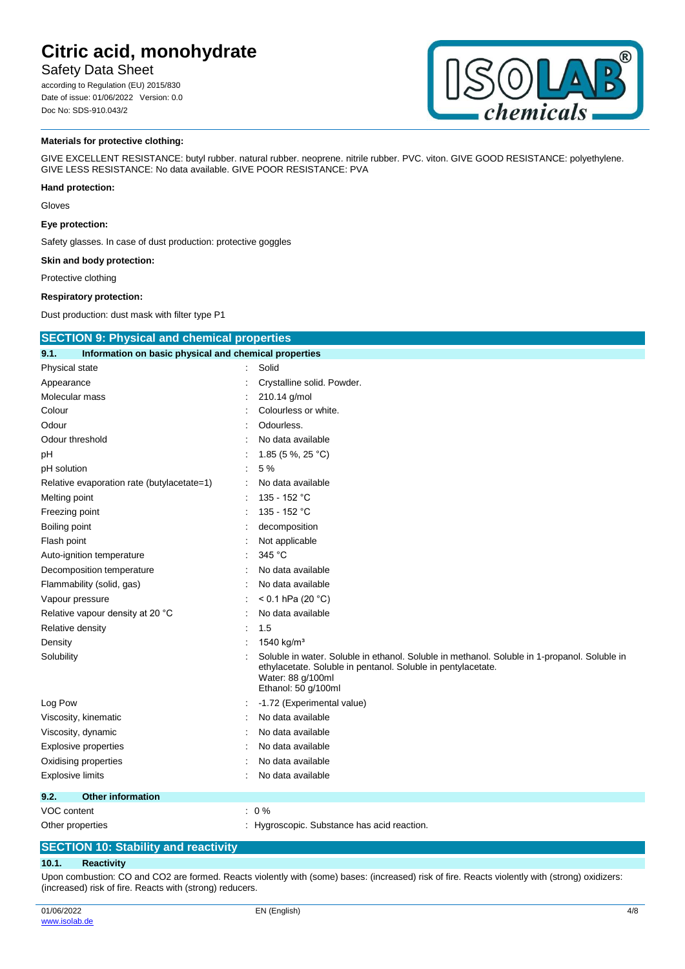## Safety Data Sheet

according to Regulation (EU) 2015/830 Date of issue: 01/06/2022 Version: 0.0 Doc No: SDS-910.043/2



#### **Materials for protective clothing:**

GIVE EXCELLENT RESISTANCE: butyl rubber. natural rubber. neoprene. nitrile rubber. PVC. viton. GIVE GOOD RESISTANCE: polyethylene. GIVE LESS RESISTANCE: No data available. GIVE POOR RESISTANCE: PVA

#### **Hand protection:**

Gloves

#### **Eye protection:**

Safety glasses. In case of dust production: protective goggles

#### **Skin and body protection:**

Protective clothing

#### **Respiratory protection:**

Dust production: dust mask with filter type P1

| <b>SECTION 9: Physical and chemical properties</b>            |  |                                                                                                                                                                                                          |
|---------------------------------------------------------------|--|----------------------------------------------------------------------------------------------------------------------------------------------------------------------------------------------------------|
| Information on basic physical and chemical properties<br>9.1. |  |                                                                                                                                                                                                          |
| Physical state                                                |  | Solid                                                                                                                                                                                                    |
| Appearance                                                    |  | Crystalline solid. Powder.                                                                                                                                                                               |
| Molecular mass                                                |  | 210.14 g/mol                                                                                                                                                                                             |
| Colour                                                        |  | Colourless or white.                                                                                                                                                                                     |
| Odour                                                         |  | Odourless.                                                                                                                                                                                               |
| Odour threshold                                               |  | No data available                                                                                                                                                                                        |
| рH                                                            |  | 1.85 (5 %, 25 °C)                                                                                                                                                                                        |
| pH solution                                                   |  | 5 %                                                                                                                                                                                                      |
| Relative evaporation rate (butylacetate=1)                    |  | No data available                                                                                                                                                                                        |
| Melting point                                                 |  | 135 - 152 °C                                                                                                                                                                                             |
| Freezing point                                                |  | 135 - 152 °C                                                                                                                                                                                             |
| Boiling point                                                 |  | decomposition                                                                                                                                                                                            |
| Flash point                                                   |  | Not applicable                                                                                                                                                                                           |
| Auto-ignition temperature                                     |  | 345 °C                                                                                                                                                                                                   |
| Decomposition temperature                                     |  | No data available                                                                                                                                                                                        |
| Flammability (solid, gas)                                     |  | No data available                                                                                                                                                                                        |
| Vapour pressure                                               |  | < 0.1 hPa (20 $^{\circ}$ C)                                                                                                                                                                              |
| Relative vapour density at 20 °C                              |  | No data available                                                                                                                                                                                        |
| Relative density                                              |  | 1.5                                                                                                                                                                                                      |
| Density                                                       |  | 1540 kg/m <sup>3</sup>                                                                                                                                                                                   |
| Solubility                                                    |  | Soluble in water. Soluble in ethanol. Soluble in methanol. Soluble in 1-propanol. Soluble in<br>ethylacetate. Soluble in pentanol. Soluble in pentylacetate.<br>Water: 88 g/100ml<br>Ethanol: 50 g/100ml |
| Log Pow                                                       |  | -1.72 (Experimental value)                                                                                                                                                                               |
| Viscosity, kinematic                                          |  | No data available                                                                                                                                                                                        |
| Viscosity, dynamic                                            |  | No data available                                                                                                                                                                                        |
| <b>Explosive properties</b>                                   |  | No data available                                                                                                                                                                                        |
| Oxidising properties                                          |  | No data available                                                                                                                                                                                        |
| <b>Explosive limits</b>                                       |  | No data available                                                                                                                                                                                        |
| 9.2.<br><b>Other information</b>                              |  |                                                                                                                                                                                                          |
| VOC content                                                   |  | $: 0\%$                                                                                                                                                                                                  |
| Other properties                                              |  | Hygroscopic. Substance has acid reaction.                                                                                                                                                                |

### **SECTION 10: Stability and reactivity**

### **10.1. Reactivity**

Upon combustion: CO and CO2 are formed. Reacts violently with (some) bases: (increased) risk of fire. Reacts violently with (strong) oxidizers: (increased) risk of fire. Reacts with (strong) reducers.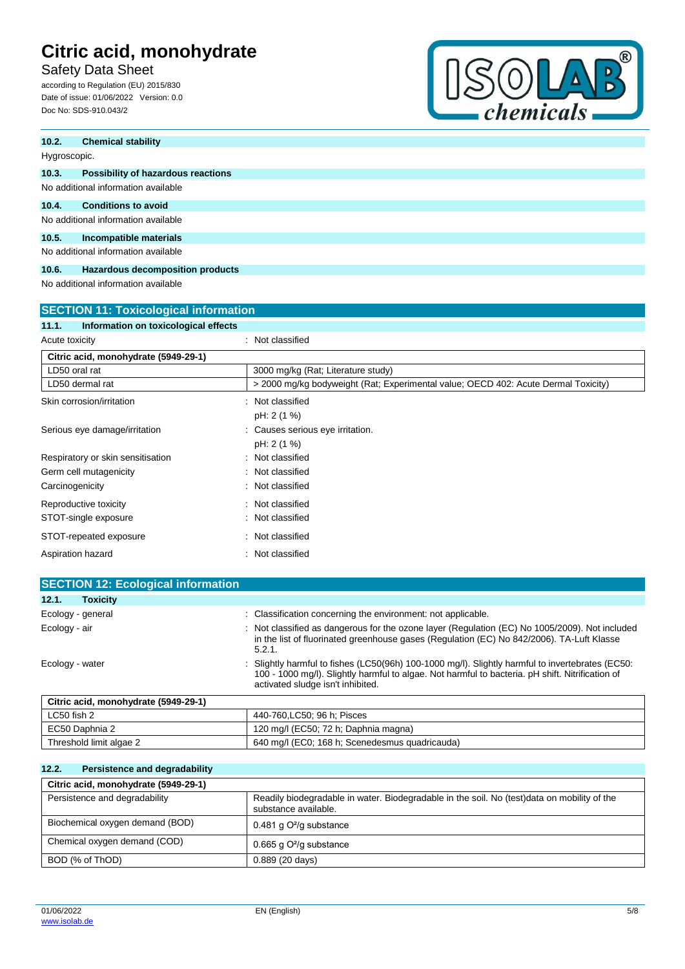Safety Data Sheet

according to Regulation (EU) 2015/830 Date of issue: 01/06/2022 Version: 0.0 Doc No: SDS-910.043/2



| 10.2.        | <b>Chemical stability</b>           |
|--------------|-------------------------------------|
| Hygroscopic. |                                     |
| 10.3.        | Possibility of hazardous reactions  |
|              | No additional information available |
| 10.4.        | <b>Conditions to avoid</b>          |
|              | No additional information available |
| 10.5.        | Incompatible materials              |
|              | No additional information available |

### **10.6. Hazardous decomposition products**

No additional information available

| <b>SECTION 11: Toxicological information</b>  |                                                                                    |  |
|-----------------------------------------------|------------------------------------------------------------------------------------|--|
| Information on toxicological effects<br>11.1. |                                                                                    |  |
| Acute toxicity                                | Not classified                                                                     |  |
| Citric acid, monohydrate (5949-29-1)          |                                                                                    |  |
| LD50 oral rat                                 | 3000 mg/kg (Rat: Literature study)                                                 |  |
| LD50 dermal rat                               | > 2000 mg/kg bodyweight (Rat; Experimental value; OECD 402: Acute Dermal Toxicity) |  |
| Skin corrosion/irritation                     | Not classified                                                                     |  |
|                                               | pH: 2 (1 %)                                                                        |  |
| Serious eye damage/irritation                 | Causes serious eye irritation.                                                     |  |
|                                               | pH: 2 (1 %)                                                                        |  |
| Respiratory or skin sensitisation             | Not classified                                                                     |  |
| Germ cell mutagenicity                        | Not classified                                                                     |  |
| Carcinogenicity                               | Not classified                                                                     |  |
| Reproductive toxicity                         | Not classified                                                                     |  |
| STOT-single exposure                          | Not classified                                                                     |  |
| STOT-repeated exposure                        | Not classified                                                                     |  |
| Aspiration hazard                             | Not classified                                                                     |  |

| <b>SECTION 12: Ecological information</b> |                                                                                                                                                                                                                                           |
|-------------------------------------------|-------------------------------------------------------------------------------------------------------------------------------------------------------------------------------------------------------------------------------------------|
| <b>Toxicity</b><br>12.1.                  |                                                                                                                                                                                                                                           |
| Ecology - general                         | : Classification concerning the environment: not applicable.                                                                                                                                                                              |
| Ecology - air                             | : Not classified as dangerous for the ozone layer (Regulation (EC) No 1005/2009). Not included<br>in the list of fluorinated greenhouse gases (Regulation (EC) No 842/2006). TA-Luft Klasse<br>5.2.1.                                     |
| Ecology - water                           | : Slightly harmful to fishes (LC50(96h) 100-1000 mg/l). Slightly harmful to invertebrates (EC50:<br>100 - 1000 mg/l). Slightly harmful to algae. Not harmful to bacteria. pH shift. Nitrification of<br>activated sludge isn't inhibited. |
| Citric acid, monohydrate (5949-29-1)      |                                                                                                                                                                                                                                           |
| LC50 fish 2                               | 440-760.LC50: 96 h: Pisces                                                                                                                                                                                                                |
| EC50 Daphnia 2                            | 120 mg/l (EC50; 72 h; Daphnia magna)                                                                                                                                                                                                      |

|  | Threshold limit algae 2 | 640 mg/l (EC0; 168 h; Scenedesmus quadricauda) |
|--|-------------------------|------------------------------------------------|
|--|-------------------------|------------------------------------------------|

## **12.2. Persistence and degradability**

| Citric acid, monohydrate (5949-29-1) |                                                                                                                     |
|--------------------------------------|---------------------------------------------------------------------------------------------------------------------|
| Persistence and degradability        | Readily biodegradable in water. Biodegradable in the soil. No (test)data on mobility of the<br>substance available. |
| Biochemical oxygen demand (BOD)      | 0.481 g $O^2$ /g substance                                                                                          |
| Chemical oxygen demand (COD)         | 0.665 g $O^2$ /g substance                                                                                          |
| BOD (% of ThOD)                      | $0.889(20 \text{ days})$                                                                                            |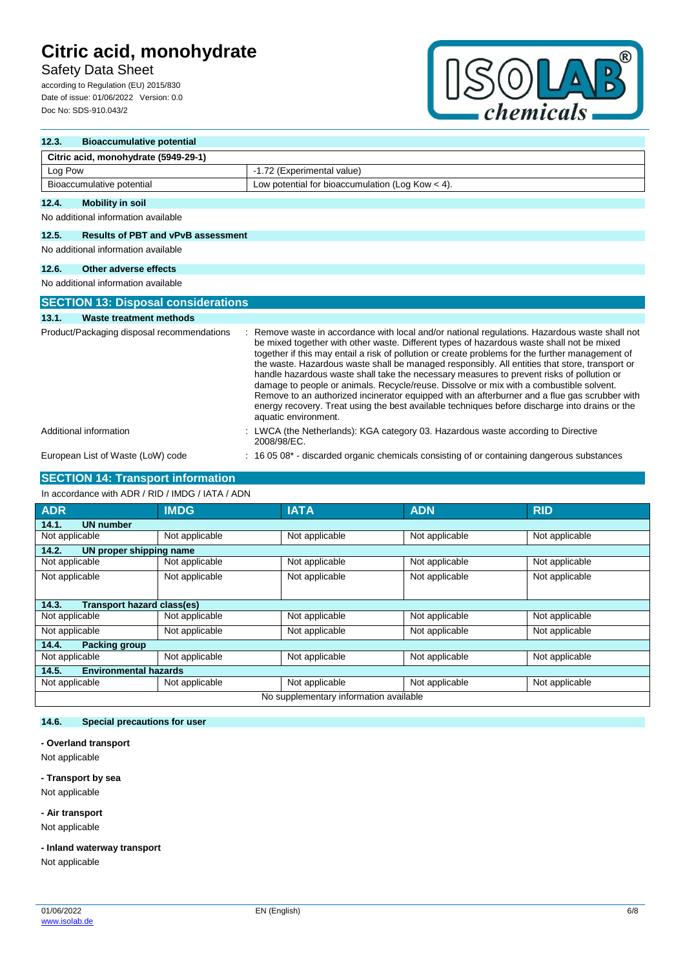# Safety Data Sheet

according to Regulation (EU) 2015/830 Date of issue: 01/06/2022 Version: 0.0 Doc No: SDS-910.043/2



| 12.3.   | <b>Bioaccumulative potential</b>           |                                                                                                                                                                                                                                                                                                                                                                                                                                                                                                                                                                                                                                                                                                                                                                                                                    |  |
|---------|--------------------------------------------|--------------------------------------------------------------------------------------------------------------------------------------------------------------------------------------------------------------------------------------------------------------------------------------------------------------------------------------------------------------------------------------------------------------------------------------------------------------------------------------------------------------------------------------------------------------------------------------------------------------------------------------------------------------------------------------------------------------------------------------------------------------------------------------------------------------------|--|
|         | Citric acid, monohydrate (5949-29-1)       |                                                                                                                                                                                                                                                                                                                                                                                                                                                                                                                                                                                                                                                                                                                                                                                                                    |  |
| Log Pow |                                            | -1.72 (Experimental value)                                                                                                                                                                                                                                                                                                                                                                                                                                                                                                                                                                                                                                                                                                                                                                                         |  |
|         | Bioaccumulative potential                  | Low potential for bioaccumulation (Log Kow $<$ 4).                                                                                                                                                                                                                                                                                                                                                                                                                                                                                                                                                                                                                                                                                                                                                                 |  |
| 12.4.   | <b>Mobility in soil</b>                    |                                                                                                                                                                                                                                                                                                                                                                                                                                                                                                                                                                                                                                                                                                                                                                                                                    |  |
|         | No additional information available        |                                                                                                                                                                                                                                                                                                                                                                                                                                                                                                                                                                                                                                                                                                                                                                                                                    |  |
| 12.5.   | <b>Results of PBT and vPvB assessment</b>  |                                                                                                                                                                                                                                                                                                                                                                                                                                                                                                                                                                                                                                                                                                                                                                                                                    |  |
|         | No additional information available        |                                                                                                                                                                                                                                                                                                                                                                                                                                                                                                                                                                                                                                                                                                                                                                                                                    |  |
| 12.6.   | Other adverse effects                      |                                                                                                                                                                                                                                                                                                                                                                                                                                                                                                                                                                                                                                                                                                                                                                                                                    |  |
|         | No additional information available        |                                                                                                                                                                                                                                                                                                                                                                                                                                                                                                                                                                                                                                                                                                                                                                                                                    |  |
|         | <b>SECTION 13: Disposal considerations</b> |                                                                                                                                                                                                                                                                                                                                                                                                                                                                                                                                                                                                                                                                                                                                                                                                                    |  |
| 13.1.   | <b>Waste treatment methods</b>             |                                                                                                                                                                                                                                                                                                                                                                                                                                                                                                                                                                                                                                                                                                                                                                                                                    |  |
|         | Product/Packaging disposal recommendations | Remove waste in accordance with local and/or national regulations. Hazardous waste shall not<br>be mixed together with other waste. Different types of hazardous waste shall not be mixed<br>together if this may entail a risk of pollution or create problems for the further management of<br>the waste. Hazardous waste shall be managed responsibly. All entities that store, transport or<br>handle hazardous waste shall take the necessary measures to prevent risks of pollution or<br>damage to people or animals. Recycle/reuse. Dissolve or mix with a combustible solvent.<br>Remove to an authorized incinerator equipped with an afterburner and a flue gas scrubber with<br>energy recovery. Treat using the best available techniques before discharge into drains or the<br>aquatic environment. |  |
|         | Additional information                     | LWCA (the Netherlands): KGA category 03. Hazardous waste according to Directive<br>2008/98/EC.                                                                                                                                                                                                                                                                                                                                                                                                                                                                                                                                                                                                                                                                                                                     |  |
|         | European List of Waste (LoW) code          | 16 05 08 <sup>*</sup> - discarded organic chemicals consisting of or containing dangerous substances                                                                                                                                                                                                                                                                                                                                                                                                                                                                                                                                                                                                                                                                                                               |  |

## **SECTION 14: Transport information**

#### In accordance with ADR / RID / IMDG / IATA / ADN

| <b>ADR</b>                                 | <b>IMDG</b>    | <b>IATA</b>    | <b>ADN</b>     | <b>RID</b>     |  |
|--------------------------------------------|----------------|----------------|----------------|----------------|--|
| 14.1.<br><b>UN number</b>                  |                |                |                |                |  |
| Not applicable                             | Not applicable | Not applicable | Not applicable | Not applicable |  |
| 14.2.<br>UN proper shipping name           |                |                |                |                |  |
| Not applicable                             | Not applicable | Not applicable | Not applicable | Not applicable |  |
| Not applicable                             | Not applicable | Not applicable | Not applicable | Not applicable |  |
| <b>Transport hazard class(es)</b><br>14.3. |                |                |                |                |  |
| Not applicable                             | Not applicable | Not applicable | Not applicable | Not applicable |  |
|                                            |                |                |                |                |  |
| Not applicable                             | Not applicable | Not applicable | Not applicable | Not applicable |  |
| 14.4.<br><b>Packing group</b>              |                |                |                |                |  |
| Not applicable                             | Not applicable | Not applicable | Not applicable | Not applicable |  |
| <b>Environmental hazards</b><br>14.5.      |                |                |                |                |  |
| Not applicable                             | Not applicable | Not applicable | Not applicable | Not applicable |  |
| No supplementary information available     |                |                |                |                |  |

# **14.6. Special precautions for user**

### **- Overland transport**

Not applicable

### **- Transport by sea**

Not applicable

**- Air transport**

Not applicable

### **- Inland waterway transport**

Not applicable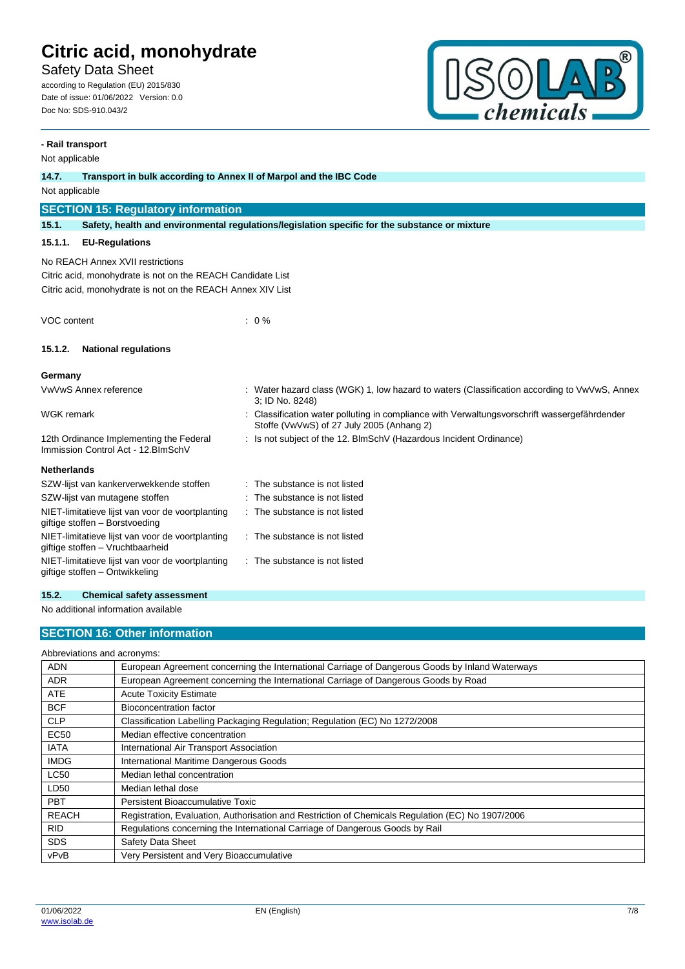Safety Data Sheet

according to Regulation (EU) 2015/830 Date of issue: 01/06/2022 Version: 0.0 Doc No: SDS-910.043/2



## **- Rail transport** Not applicable **14.7. Transport in bulk according to Annex II of Marpol and the IBC Code** Not applicable **SECTION 15: Regulatory information 15.1. Safety, health and environmental regulations/legislation specific for the substance or mixture 15.1.1. EU-Regulations** No REACH Annex XVII restrictions Citric acid, monohydrate is not on the REACH Candidate List Citric acid, monohydrate is not on the REACH Annex XIV List VOC content : 0 % **15.1.2. National regulations Germany** VwVwS Annex reference : Water hazard class (WGK) 1, low hazard to waters (Classification according to VwVwS, Annex 3; ID No. 8248) WGK remark **in the symbol of the Classification water polluting in compliance with Verwaltungsvorschrift wassergefährdender** with Verwaltungsvorschrift wassergefährdender Stoffe (VwVwS) of 27 July 2005 (Anhang 2) 12th Ordinance Implementing the Federal Immission Control Act - 12.BImSchV : Is not subject of the 12. BlmSchV (Hazardous Incident Ordinance) **Netherlands** SZW-lijst van kankerverwekkende stoffen : The substance is not listed SZW-lijst van mutagene stoffen : The substance is not listed NIET-limitatieve lijst van voor de voortplanting giftige stoffen – Borstvoeding : The substance is not listed NIET-limitatieve lijst van voor de voortplanting giftige stoffen – Vruchtbaarheid : The substance is not listed NIET-limitatieve lijst van voor de voortplanting giftige stoffen – Ontwikkeling : The substance is not listed

#### **15.2. Chemical safety assessment**

No additional information available

### **SECTION 16: Other information**

| Abbreviations and acronyms: |                                                                                                   |  |  |
|-----------------------------|---------------------------------------------------------------------------------------------------|--|--|
| <b>ADN</b>                  | European Agreement concerning the International Carriage of Dangerous Goods by Inland Waterways   |  |  |
| <b>ADR</b>                  | European Agreement concerning the International Carriage of Dangerous Goods by Road               |  |  |
| <b>ATE</b>                  | <b>Acute Toxicity Estimate</b>                                                                    |  |  |
| <b>BCF</b>                  | Bioconcentration factor                                                                           |  |  |
| <b>CLP</b>                  | Classification Labelling Packaging Regulation; Regulation (EC) No 1272/2008                       |  |  |
| <b>EC50</b>                 | Median effective concentration                                                                    |  |  |
| <b>IATA</b>                 | International Air Transport Association                                                           |  |  |
| <b>IMDG</b>                 | International Maritime Dangerous Goods                                                            |  |  |
| <b>LC50</b>                 | Median lethal concentration                                                                       |  |  |
| LD50                        | Median lethal dose                                                                                |  |  |
| <b>PBT</b>                  | Persistent Bioaccumulative Toxic                                                                  |  |  |
| <b>REACH</b>                | Registration, Evaluation, Authorisation and Restriction of Chemicals Regulation (EC) No 1907/2006 |  |  |
| <b>RID</b>                  | Regulations concerning the International Carriage of Dangerous Goods by Rail                      |  |  |
| <b>SDS</b>                  | <b>Safety Data Sheet</b>                                                                          |  |  |
| vPvB                        | Very Persistent and Very Bioaccumulative                                                          |  |  |